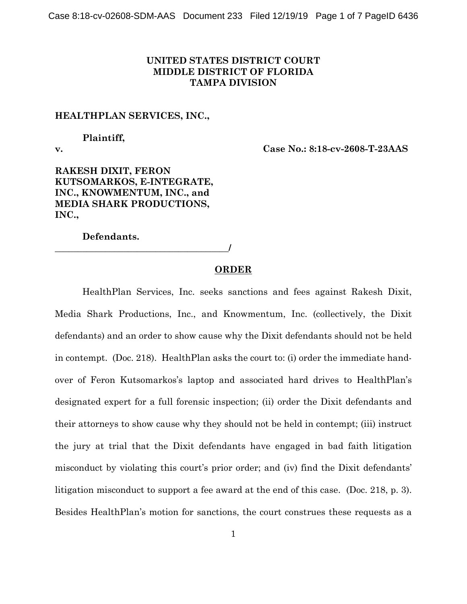## **UNITED STATES DISTRICT COURT MIDDLE DISTRICT OF FLORIDA TAMPA DIVISION**

## **HEALTHPLAN SERVICES, INC.,**

# **Plaintiff,**

**v. Case No.: 8:18-cv-2608-T-23AAS**

**RAKESH DIXIT, FERON KUTSOMARKOS, E-INTEGRATE, INC., KNOWMENTUM, INC., and MEDIA SHARK PRODUCTIONS, INC.,**

**Defendants.**

**\_\_\_\_\_\_\_\_\_\_\_\_\_\_\_\_\_\_\_\_\_\_\_\_\_\_\_\_\_\_\_\_\_\_\_\_\_\_/**

## **ORDER**

HealthPlan Services, Inc. seeks sanctions and fees against Rakesh Dixit, Media Shark Productions, Inc., and Knowmentum, Inc. (collectively, the Dixit defendants) and an order to show cause why the Dixit defendants should not be held in contempt. (Doc. 218). HealthPlan asks the court to: (i) order the immediate handover of Feron Kutsomarkos's laptop and associated hard drives to HealthPlan's designated expert for a full forensic inspection; (ii) order the Dixit defendants and their attorneys to show cause why they should not be held in contempt; (iii) instruct the jury at trial that the Dixit defendants have engaged in bad faith litigation misconduct by violating this court's prior order; and (iv) find the Dixit defendants' litigation misconduct to support a fee award at the end of this case. (Doc. 218, p. 3). Besides HealthPlan's motion for sanctions, the court construes these requests as a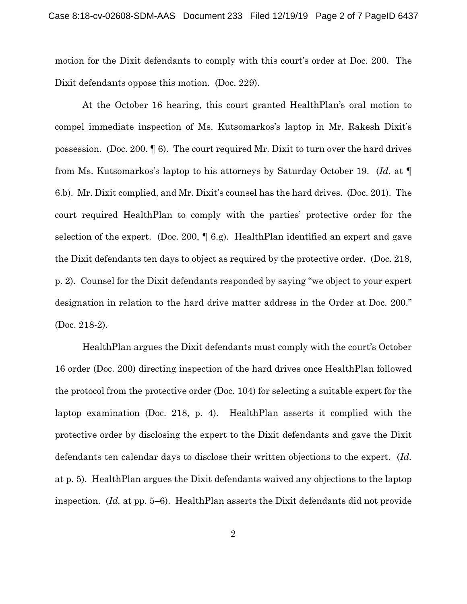motion for the Dixit defendants to comply with this court's order at Doc. 200. The Dixit defendants oppose this motion. (Doc. 229).

At the October 16 hearing, this court granted HealthPlan's oral motion to compel immediate inspection of Ms. Kutsomarkos's laptop in Mr. Rakesh Dixit's possession. (Doc. 200. ¶ 6). The court required Mr. Dixit to turn over the hard drives from Ms. Kutsomarkos's laptop to his attorneys by Saturday October 19. (*Id.* at ¶ 6.b). Mr. Dixit complied, and Mr. Dixit's counsel has the hard drives. (Doc. 201). The court required HealthPlan to comply with the parties' protective order for the selection of the expert. (Doc. 200,  $\parallel$  6.g). HealthPlan identified an expert and gave the Dixit defendants ten days to object as required by the protective order. (Doc. 218, p. 2). Counsel for the Dixit defendants responded by saying "we object to your expert designation in relation to the hard drive matter address in the Order at Doc. 200." (Doc. 218-2).

HealthPlan argues the Dixit defendants must comply with the court's October 16 order (Doc. 200) directing inspection of the hard drives once HealthPlan followed the protocol from the protective order (Doc. 104) for selecting a suitable expert for the laptop examination (Doc. 218, p. 4). HealthPlan asserts it complied with the protective order by disclosing the expert to the Dixit defendants and gave the Dixit defendants ten calendar days to disclose their written objections to the expert. (*Id.*  at p. 5). HealthPlan argues the Dixit defendants waived any objections to the laptop inspection. (*Id.* at pp. 5–6). HealthPlan asserts the Dixit defendants did not provide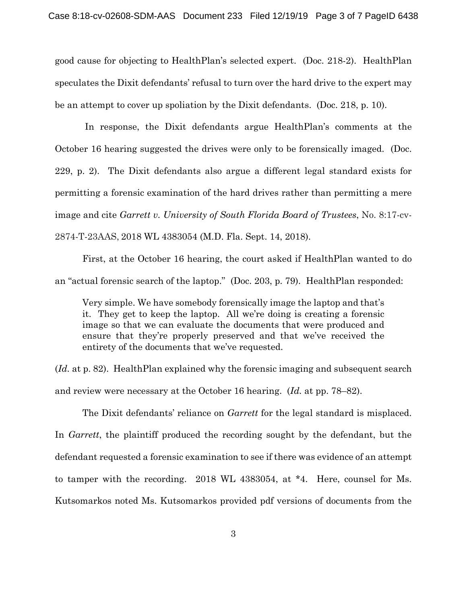good cause for objecting to HealthPlan's selected expert. (Doc. 218-2). HealthPlan speculates the Dixit defendants' refusal to turn over the hard drive to the expert may be an attempt to cover up spoliation by the Dixit defendants. (Doc. 218, p. 10).

In response, the Dixit defendants argue HealthPlan's comments at the October 16 hearing suggested the drives were only to be forensically imaged. (Doc. 229, p. 2). The Dixit defendants also argue a different legal standard exists for permitting a forensic examination of the hard drives rather than permitting a mere image and cite *Garrett v. University of South Florida Board of Trustees*, No. 8:17-cv-2874-T-23AAS, 2018 WL 4383054 (M.D. Fla. Sept. 14, 2018).

First, at the October 16 hearing, the court asked if HealthPlan wanted to do an "actual forensic search of the laptop." (Doc. 203, p. 79). HealthPlan responded:

Very simple. We have somebody forensically image the laptop and that's it. They get to keep the laptop. All we're doing is creating a forensic image so that we can evaluate the documents that were produced and ensure that they're properly preserved and that we've received the entirety of the documents that we've requested.

(*Id.* at p. 82). HealthPlan explained why the forensic imaging and subsequent search and review were necessary at the October 16 hearing. (*Id.* at pp. 78–82).

The Dixit defendants' reliance on *Garrett* for the legal standard is misplaced. In *Garrett*, the plaintiff produced the recording sought by the defendant, but the defendant requested a forensic examination to see if there was evidence of an attempt to tamper with the recording. 2018 WL 4383054, at \*4. Here, counsel for Ms. Kutsomarkos noted Ms. Kutsomarkos provided pdf versions of documents from the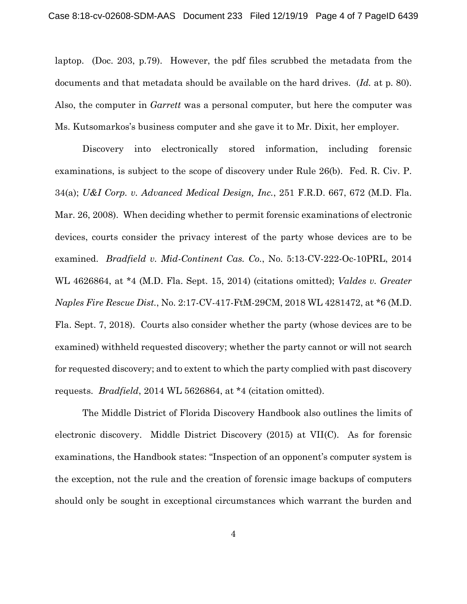laptop. (Doc. 203, p.79). However, the pdf files scrubbed the metadata from the documents and that metadata should be available on the hard drives. (*Id.* at p. 80). Also, the computer in *Garrett* was a personal computer, but here the computer was Ms. Kutsomarkos's business computer and she gave it to Mr. Dixit, her employer.

Discovery into electronically stored information, including forensic examinations, is subject to the scope of discovery under Rule 26(b). Fed. R. Civ. P. 34(a); *U&I Corp. v. Advanced Medical Design, Inc.*, 251 F.R.D. 667, 672 (M.D. Fla. Mar. 26, 2008). When deciding whether to permit forensic examinations of electronic devices, courts consider the privacy interest of the party whose devices are to be examined. *Bradfield v. Mid-Continent Cas. Co.*, No. 5:13-CV-222-Oc-10PRL, 2014 WL 4626864, at \*4 (M.D. Fla. Sept. 15, 2014) (citations omitted); *Valdes v. Greater Naples Fire Rescue Dist.*, No. 2:17-CV-417-FtM-29CM, 2018 WL 4281472, at \*6 (M.D. Fla. Sept. 7, 2018). Courts also consider whether the party (whose devices are to be examined) withheld requested discovery; whether the party cannot or will not search for requested discovery; and to extent to which the party complied with past discovery requests. *Bradfield*, 2014 WL 5626864, at \*4 (citation omitted).

The Middle District of Florida Discovery Handbook also outlines the limits of electronic discovery. Middle District Discovery (2015) at VII(C). As for forensic examinations, the Handbook states: "Inspection of an opponent's computer system is the exception, not the rule and the creation of forensic image backups of computers should only be sought in exceptional circumstances which warrant the burden and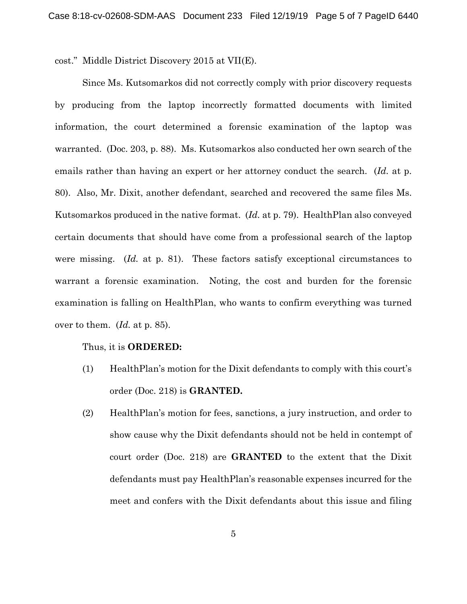cost." Middle District Discovery 2015 at VII(E).

Since Ms. Kutsomarkos did not correctly comply with prior discovery requests by producing from the laptop incorrectly formatted documents with limited information, the court determined a forensic examination of the laptop was warranted. (Doc. 203, p. 88). Ms. Kutsomarkos also conducted her own search of the emails rather than having an expert or her attorney conduct the search. (*Id.* at p. 80). Also, Mr. Dixit, another defendant, searched and recovered the same files Ms. Kutsomarkos produced in the native format. (*Id.* at p. 79). HealthPlan also conveyed certain documents that should have come from a professional search of the laptop were missing. (*Id.* at p. 81). These factors satisfy exceptional circumstances to warrant a forensic examination. Noting, the cost and burden for the forensic examination is falling on HealthPlan, who wants to confirm everything was turned over to them. (*Id.* at p. 85).

#### Thus, it is **ORDERED:**

- (1) HealthPlan's motion for the Dixit defendants to comply with this court's order (Doc. 218) is **GRANTED.**
- (2) HealthPlan's motion for fees, sanctions, a jury instruction, and order to show cause why the Dixit defendants should not be held in contempt of court order (Doc. 218) are **GRANTED** to the extent that the Dixit defendants must pay HealthPlan's reasonable expenses incurred for the meet and confers with the Dixit defendants about this issue and filing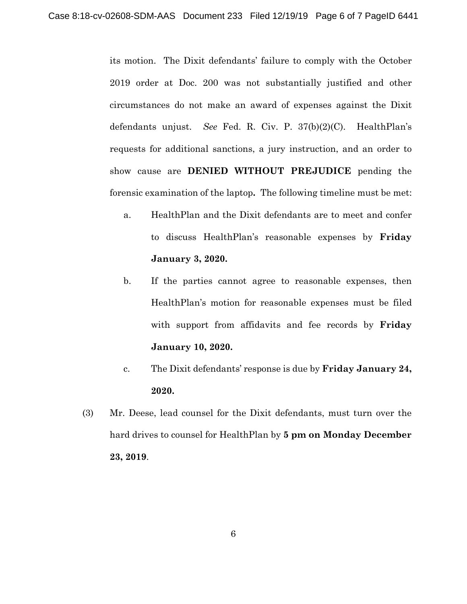its motion. The Dixit defendants' failure to comply with the October 2019 order at Doc. 200 was not substantially justified and other circumstances do not make an award of expenses against the Dixit defendants unjust. *See* Fed. R. Civ. P. 37(b)(2)(C). HealthPlan's requests for additional sanctions, a jury instruction, and an order to show cause are **DENIED WITHOUT PREJUDICE** pending the forensic examination of the laptop**.** The following timeline must be met:

- a. HealthPlan and the Dixit defendants are to meet and confer to discuss HealthPlan's reasonable expenses by **Friday January 3, 2020.**
- b. If the parties cannot agree to reasonable expenses, then HealthPlan's motion for reasonable expenses must be filed with support from affidavits and fee records by **Friday January 10, 2020.**
- c. The Dixit defendants' response is due by **Friday January 24, 2020.**
- (3) Mr. Deese, lead counsel for the Dixit defendants, must turn over the hard drives to counsel for HealthPlan by **5 pm on Monday December 23, 2019**.